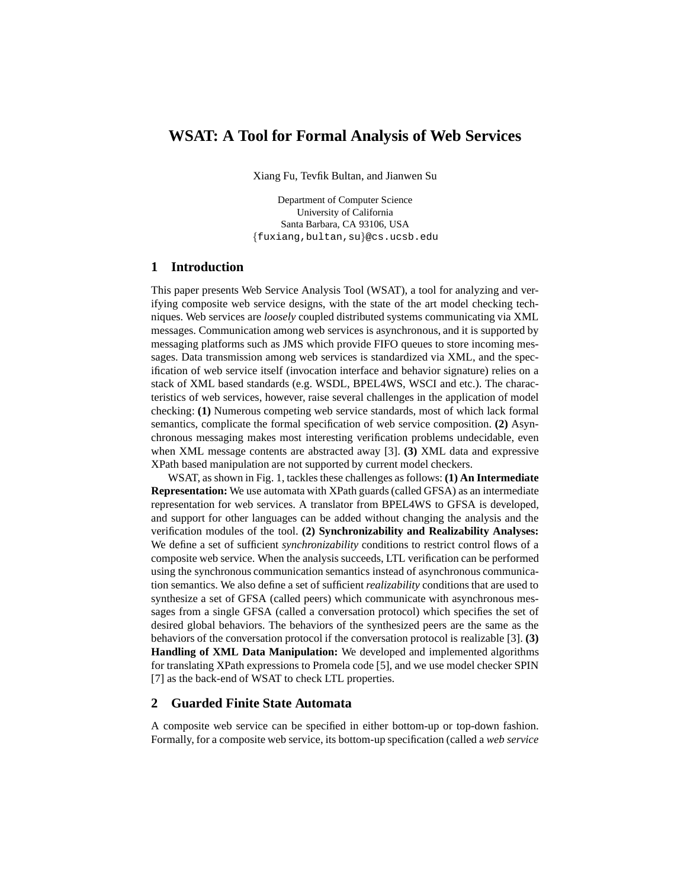# **WSAT: A Tool for Formal Analysis of Web Services**

Xiang Fu, Tevfik Bultan, and Jianwen Su

Department of Computer Science University of California Santa Barbara, CA 93106, USA {fuxiang,bultan,su}@cs.ucsb.edu

# **1 Introduction**

This paper presents Web Service Analysis Tool (WSAT), a tool for analyzing and verifying composite web service designs, with the state of the art model checking techniques. Web services are *loosely* coupled distributed systems communicating via XML messages. Communication among web services is asynchronous, and it is supported by messaging platforms such as JMS which provide FIFO queues to store incoming messages. Data transmission among web services is standardized via XML, and the specification of web service itself (invocation interface and behavior signature) relies on a stack of XML based standards (e.g. WSDL, BPEL4WS, WSCI and etc.). The characteristics of web services, however, raise several challenges in the application of model checking: **(1)** Numerous competing web service standards, most of which lack formal semantics, complicate the formal specification of web service composition. **(2)** Asynchronous messaging makes most interesting verification problems undecidable, even when XML message contents are abstracted away [3]. **(3)** XML data and expressive XPath based manipulation are not supported by current model checkers.

WSAT, as shown in Fig. 1, tackles these challenges as follows: **(1) An Intermediate Representation:** We use automata with XPath guards (called GFSA) as an intermediate representation for web services. A translator from BPEL4WS to GFSA is developed, and support for other languages can be added without changing the analysis and the verification modules of the tool. **(2) Synchronizability and Realizability Analyses:** We define a set of sufficient *synchronizability* conditions to restrict control flows of a composite web service. When the analysis succeeds, LTL verification can be performed using the synchronous communication semantics instead of asynchronous communication semantics. We also define a set of sufficient *realizability* conditions that are used to synthesize a set of GFSA (called peers) which communicate with asynchronous messages from a single GFSA (called a conversation protocol) which specifies the set of desired global behaviors. The behaviors of the synthesized peers are the same as the behaviors of the conversation protocol if the conversation protocol is realizable [3]. **(3) Handling of XML Data Manipulation:** We developed and implemented algorithms for translating XPath expressions to Promela code [5], and we use model checker SPIN [7] as the back-end of WSAT to check LTL properties.

## **2 Guarded Finite State Automata**

A composite web service can be specified in either bottom-up or top-down fashion. Formally, for a composite web service, its bottom-up specification (called a *web service*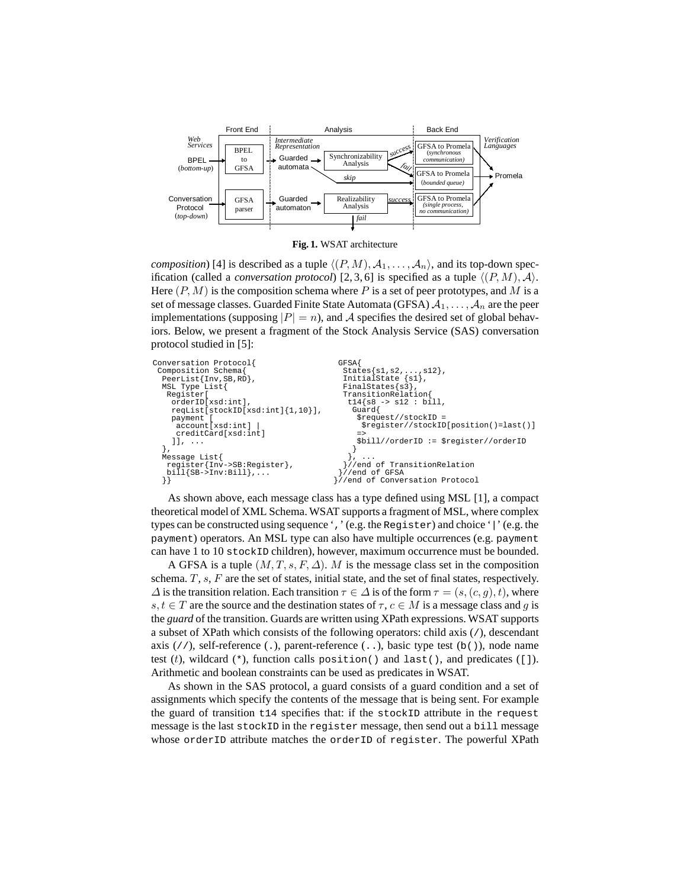

**Fig. 1.** WSAT architecture

*composition*) [4] is described as a tuple  $\langle (P, M), A_1, \ldots, A_n \rangle$ , and its top-down specification (called a *conversation protocol*) [2, 3, 6] is specified as a tuple  $\langle (P, M), A \rangle$ . Here  $(P, M)$  is the composition schema where P is a set of peer prototypes, and M is a set of message classes. Guarded Finite State Automata (GFSA)  $A_1, \ldots, A_n$  are the peer implementations (supposing  $|P| = n$ ), and A specifies the desired set of global behaviors. Below, we present a fragment of the Stock Analysis Service (SAS) conversation protocol studied in [5]:

| Conversation Protocol{                             | <b>GFSA</b>                            |
|----------------------------------------------------|----------------------------------------|
| Composition Schema{                                | $States\{s1, s2, \ldots, s12\}$ ,      |
| $PeerList\{Inv, SB, RD\}$ ,                        | InitialState $\{sl\}$ ,                |
| MSL Type List{                                     | $Finally takes \{s3\},$                |
| Register                                           | TransitionRelation{                    |
| orderID[xsd:int],                                  | $t14$ {s8 -> s12 : bill,               |
| $reqList[stockID[xsd:int]{1,10}]$ ,                | Guard                                  |
| payment [                                          | $$request//stockID =$                  |
| account[xsd:int]                                   | \$reqister//stockID[position()=last()] |
| creditCard[xsd:int]                                | $\Rightarrow$                          |
| 11.11                                              | $$bill//orderID := $register//orderID$ |
|                                                    |                                        |
| Message List{                                      |                                        |
| register{Inv->SB:Register},                        | //end of TransitionRelation            |
| $\text{bill}$ $\text{SB-}\text{Inv:}\text{Bill}$ , | //end of GFSA                          |
|                                                    | //end of Conversation Protocol         |
|                                                    |                                        |

As shown above, each message class has a type defined using MSL [1], a compact theoretical model of XML Schema. WSAT supports a fragment of MSL, where complex types can be constructed using sequence ',' (e.g. the Register) and choice '|' (e.g. the payment) operators. An MSL type can also have multiple occurrences (e.g. payment can have 1 to 10 stockID children), however, maximum occurrence must be bounded.

A GFSA is a tuple  $(M, T, s, F, \Delta)$ . M is the message class set in the composition schema.  $T$ ,  $s$ ,  $F$  are the set of states, initial state, and the set of final states, respectively.  $\Delta$  is the transition relation. Each transition  $\tau \in \Delta$  is of the form  $\tau = (s,(c,q),t)$ , where s,  $t \in T$  are the source and the destination states of  $\tau$ ,  $c \in M$  is a message class and g is the *guard* of the transition. Guards are written using XPath expressions. WSAT supports a subset of XPath which consists of the following operators: child axis (/), descendant axis  $//$ , self-reference (.), parent-reference (..), basic type test (b()), node name test  $(t)$ , wildcard  $(*)$ , function calls position() and last(), and predicates ([]). Arithmetic and boolean constraints can be used as predicates in WSAT.

As shown in the SAS protocol, a guard consists of a guard condition and a set of assignments which specify the contents of the message that is being sent. For example the guard of transition t14 specifies that: if the stockID attribute in the request message is the last stockID in the register message, then send out a bill message whose orderID attribute matches the orderID of register. The powerful XPath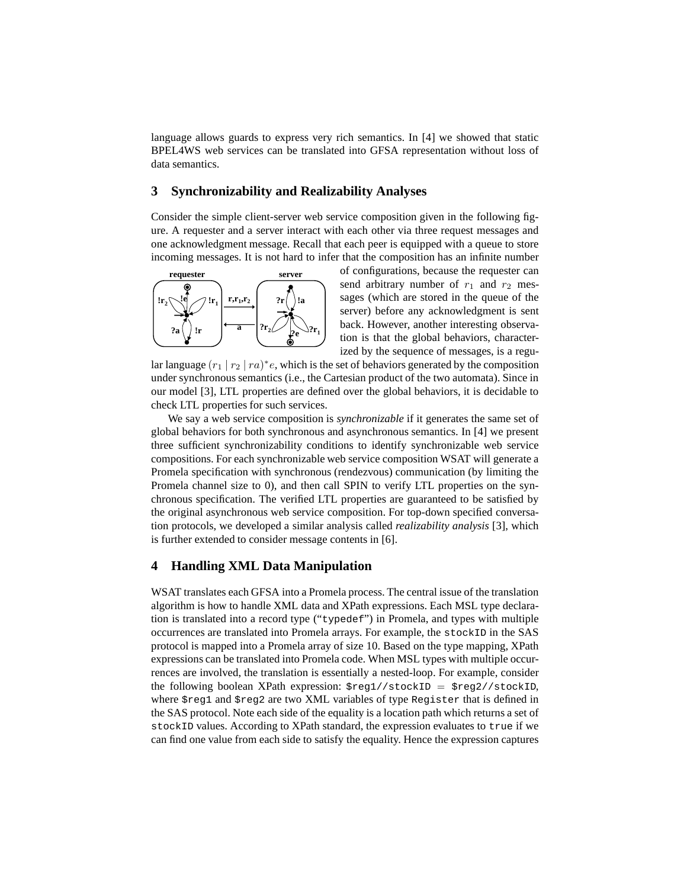language allows guards to express very rich semantics. In [4] we showed that static BPEL4WS web services can be translated into GFSA representation without loss of data semantics.

### **3 Synchronizability and Realizability Analyses**

Consider the simple client-server web service composition given in the following figure. A requester and a server interact with each other via three request messages and one acknowledgment message. Recall that each peer is equipped with a queue to store incoming messages. It is not hard to infer that the composition has an infinite number



of configurations, because the requester can send arbitrary number of  $r_1$  and  $r_2$  messages (which are stored in the queue of the server) before any acknowledgment is sent back. However, another interesting observation is that the global behaviors, characterized by the sequence of messages, is a regu-

lar language  $(r_1 | r_2 | r a)^* e$ , which is the set of behaviors generated by the composition under synchronous semantics (i.e., the Cartesian product of the two automata). Since in our model [3], LTL properties are defined over the global behaviors, it is decidable to check LTL properties for such services.

We say a web service composition is *synchronizable* if it generates the same set of global behaviors for both synchronous and asynchronous semantics. In [4] we present three sufficient synchronizability conditions to identify synchronizable web service compositions. For each synchronizable web service composition WSAT will generate a Promela specification with synchronous (rendezvous) communication (by limiting the Promela channel size to 0), and then call SPIN to verify LTL properties on the synchronous specification. The verified LTL properties are guaranteed to be satisfied by the original asynchronous web service composition. For top-down specified conversation protocols, we developed a similar analysis called *realizability analysis* [3], which is further extended to consider message contents in [6].

### **4 Handling XML Data Manipulation**

WSAT translates each GFSA into a Promela process. The central issue of the translation algorithm is how to handle XML data and XPath expressions. Each MSL type declaration is translated into a record type ("typedef") in Promela, and types with multiple occurrences are translated into Promela arrays. For example, the stockID in the SAS protocol is mapped into a Promela array of size 10. Based on the type mapping, XPath expressions can be translated into Promela code. When MSL types with multiple occurrences are involved, the translation is essentially a nested-loop. For example, consider the following boolean XPath expression:  $\frac{\text{Sreg1}}{\text{Sreg2}}$  =  $\frac{\text{Sreg2}}{\text{Sreg2}}$ where \$reg1 and \$reg2 are two XML variables of type Register that is defined in the SAS protocol. Note each side of the equality is a location path which returns a set of stockID values. According to XPath standard, the expression evaluates to true if we can find one value from each side to satisfy the equality. Hence the expression captures